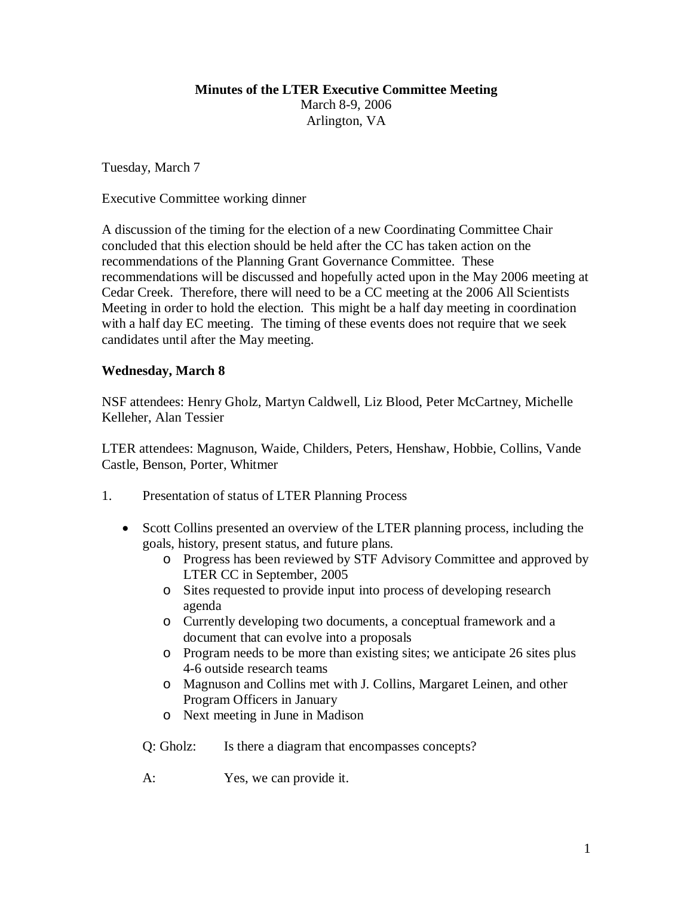#### **Minutes of the LTER Executive Committee Meeting**

March 8-9, 2006 Arlington, VA

Tuesday, March 7

Executive Committee working dinner

A discussion of the timing for the election of a new Coordinating Committee Chair concluded that this election should be held after the CC has taken action on the recommendations of the Planning Grant Governance Committee. These recommendations will be discussed and hopefully acted upon in the May 2006 meeting at Cedar Creek. Therefore, there will need to be a CC meeting at the 2006 All Scientists Meeting in order to hold the election. This might be a half day meeting in coordination with a half day EC meeting. The timing of these events does not require that we seek candidates until after the May meeting.

#### **Wednesday, March 8**

NSF attendees: Henry Gholz, Martyn Caldwell, Liz Blood, Peter McCartney, Michelle Kelleher, Alan Tessier

LTER attendees: Magnuson, Waide, Childers, Peters, Henshaw, Hobbie, Collins, Vande Castle, Benson, Porter, Whitmer

- 1. Presentation of status of LTER Planning Process
	- Scott Collins presented an overview of the LTER planning process, including the goals, history, present status, and future plans.
		- o Progress has been reviewed by STF Advisory Committee and approved by LTER CC in September, 2005
		- o Sites requested to provide input into process of developing research agenda
		- o Currently developing two documents, a conceptual framework and a document that can evolve into a proposals
		- o Program needs to be more than existing sites; we anticipate 26 sites plus 4-6 outside research teams
		- o Magnuson and Collins met with J. Collins, Margaret Leinen, and other Program Officers in January
		- o Next meeting in June in Madison
		- Q: Gholz: Is there a diagram that encompasses concepts?
		- A: Yes, we can provide it.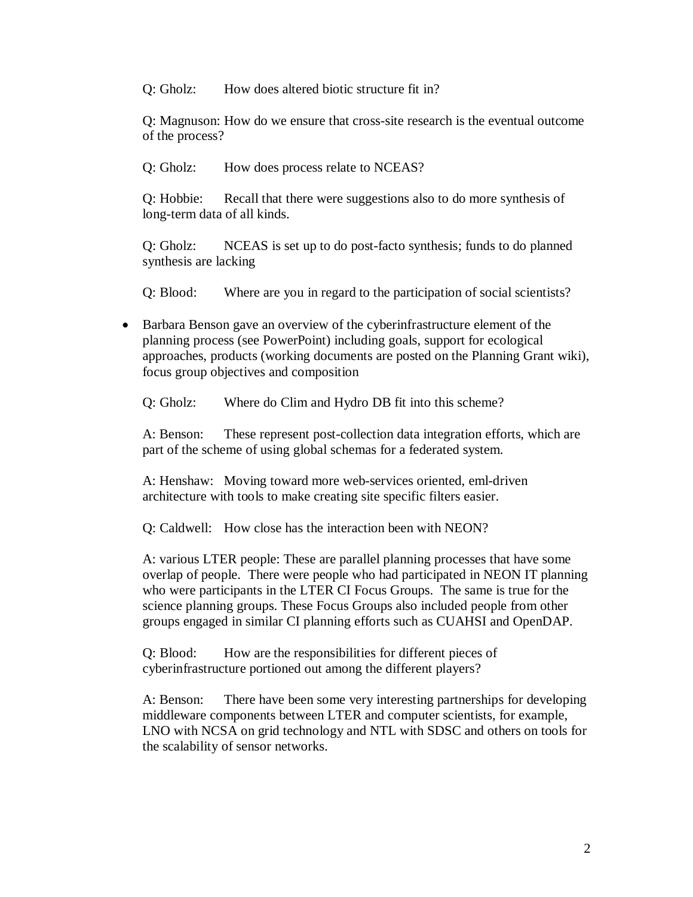Q: Gholz: How does altered biotic structure fit in?

Q: Magnuson: How do we ensure that cross-site research is the eventual outcome of the process?

Q: Gholz: How does process relate to NCEAS?

Q: Hobbie: Recall that there were suggestions also to do more synthesis of long-term data of all kinds.

Q: Gholz: NCEAS is set up to do post-facto synthesis; funds to do planned synthesis are lacking

Q: Blood: Where are you in regard to the participation of social scientists?

• Barbara Benson gave an overview of the cyberinfrastructure element of the planning process (see PowerPoint) including goals, support for ecological approaches, products (working documents are posted on the Planning Grant wiki), focus group objectives and composition

Q: Gholz: Where do Clim and Hydro DB fit into this scheme?

A: Benson: These represent post-collection data integration efforts, which are part of the scheme of using global schemas for a federated system.

A: Henshaw: Moving toward more web-services oriented, eml-driven architecture with tools to make creating site specific filters easier.

Q: Caldwell: How close has the interaction been with NEON?

A: various LTER people: These are parallel planning processes that have some overlap of people. There were people who had participated in NEON IT planning who were participants in the LTER CI Focus Groups. The same is true for the science planning groups. These Focus Groups also included people from other groups engaged in similar CI planning efforts such as CUAHSI and OpenDAP.

Q: Blood: How are the responsibilities for different pieces of cyberinfrastructure portioned out among the different players?

A: Benson: There have been some very interesting partnerships for developing middleware components between LTER and computer scientists, for example, LNO with NCSA on grid technology and NTL with SDSC and others on tools for the scalability of sensor networks.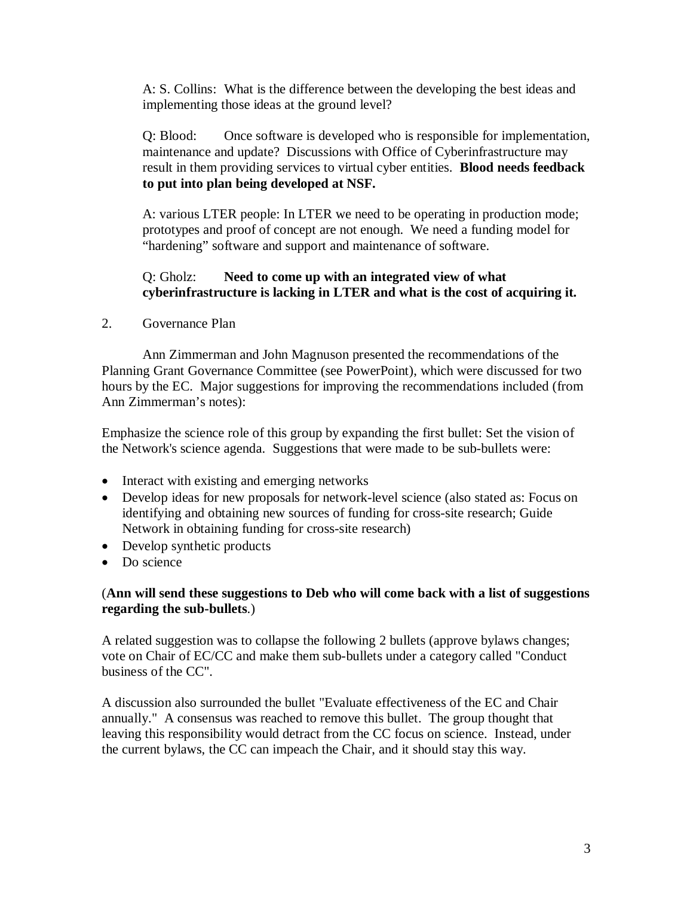A: S. Collins: What is the difference between the developing the best ideas and implementing those ideas at the ground level?

Q: Blood: Once software is developed who is responsible for implementation, maintenance and update? Discussions with Office of Cyberinfrastructure may result in them providing services to virtual cyber entities. **Blood needs feedback to put into plan being developed at NSF.**

A: various LTER people: In LTER we need to be operating in production mode; prototypes and proof of concept are not enough. We need a funding model for "hardening" software and support and maintenance of software.

### Q: Gholz: **Need to come up with an integrated view of what cyberinfrastructure is lacking in LTER and what is the cost of acquiring it.**

2. Governance Plan

Ann Zimmerman and John Magnuson presented the recommendations of the Planning Grant Governance Committee (see PowerPoint), which were discussed for two hours by the EC. Major suggestions for improving the recommendations included (from Ann Zimmerman's notes):

Emphasize the science role of this group by expanding the first bullet: Set the vision of the Network's science agenda. Suggestions that were made to be sub-bullets were:

- Interact with existing and emerging networks
- Develop ideas for new proposals for network-level science (also stated as: Focus on identifying and obtaining new sources of funding for cross-site research; Guide Network in obtaining funding for cross-site research)
- Develop synthetic products
- Do science

#### (**Ann will send these suggestions to Deb who will come back with a list of suggestions regarding the sub-bullets**.)

A related suggestion was to collapse the following 2 bullets (approve bylaws changes; vote on Chair of EC/CC and make them sub-bullets under a category called "Conduct business of the CC".

A discussion also surrounded the bullet "Evaluate effectiveness of the EC and Chair annually." A consensus was reached to remove this bullet. The group thought that leaving this responsibility would detract from the CC focus on science. Instead, under the current bylaws, the CC can impeach the Chair, and it should stay this way.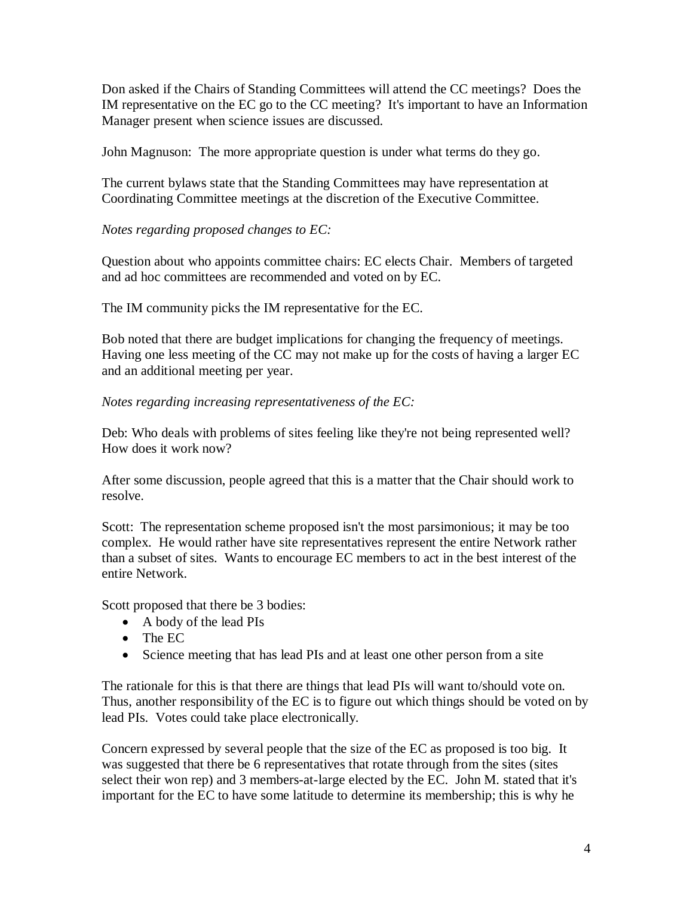Don asked if the Chairs of Standing Committees will attend the CC meetings? Does the IM representative on the EC go to the CC meeting? It's important to have an Information Manager present when science issues are discussed.

John Magnuson: The more appropriate question is under what terms do they go.

The current bylaws state that the Standing Committees may have representation at Coordinating Committee meetings at the discretion of the Executive Committee.

### *Notes regarding proposed changes to EC:*

Question about who appoints committee chairs: EC elects Chair. Members of targeted and ad hoc committees are recommended and voted on by EC.

The IM community picks the IM representative for the EC.

Bob noted that there are budget implications for changing the frequency of meetings. Having one less meeting of the CC may not make up for the costs of having a larger EC and an additional meeting per year.

#### *Notes regarding increasing representativeness of the EC:*

Deb: Who deals with problems of sites feeling like they're not being represented well? How does it work now?

After some discussion, people agreed that this is a matter that the Chair should work to resolve.

Scott: The representation scheme proposed isn't the most parsimonious; it may be too complex. He would rather have site representatives represent the entire Network rather than a subset of sites. Wants to encourage EC members to act in the best interest of the entire Network.

Scott proposed that there be 3 bodies:

- A body of the lead PIs
- The EC
- Science meeting that has lead PIs and at least one other person from a site

The rationale for this is that there are things that lead PIs will want to/should vote on. Thus, another responsibility of the EC is to figure out which things should be voted on by lead PIs. Votes could take place electronically.

Concern expressed by several people that the size of the EC as proposed is too big. It was suggested that there be 6 representatives that rotate through from the sites (sites select their won rep) and 3 members-at-large elected by the EC. John M. stated that it's important for the EC to have some latitude to determine its membership; this is why he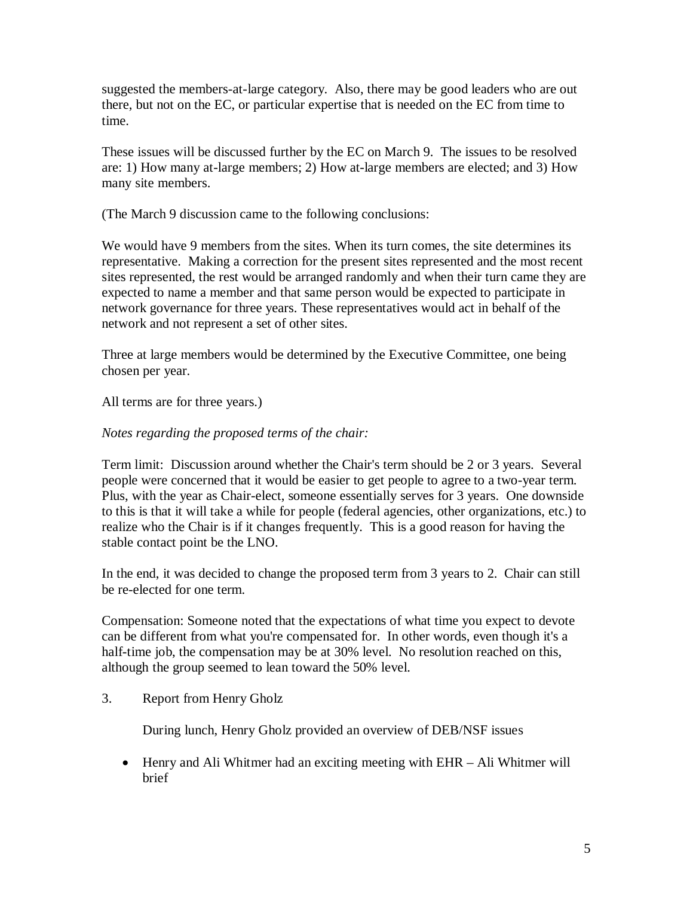suggested the members-at-large category. Also, there may be good leaders who are out there, but not on the EC, or particular expertise that is needed on the EC from time to time.

These issues will be discussed further by the EC on March 9. The issues to be resolved are: 1) How many at-large members; 2) How at-large members are elected; and 3) How many site members.

(The March 9 discussion came to the following conclusions:

We would have 9 members from the sites. When its turn comes, the site determines its representative. Making a correction for the present sites represented and the most recent sites represented, the rest would be arranged randomly and when their turn came they are expected to name a member and that same person would be expected to participate in network governance for three years. These representatives would act in behalf of the network and not represent a set of other sites.

Three at large members would be determined by the Executive Committee, one being chosen per year.

All terms are for three years.)

### *Notes regarding the proposed terms of the chair:*

Term limit: Discussion around whether the Chair's term should be 2 or 3 years. Several people were concerned that it would be easier to get people to agree to a two-year term. Plus, with the year as Chair-elect, someone essentially serves for 3 years. One downside to this is that it will take a while for people (federal agencies, other organizations, etc.) to realize who the Chair is if it changes frequently. This is a good reason for having the stable contact point be the LNO.

In the end, it was decided to change the proposed term from 3 years to 2. Chair can still be re-elected for one term.

Compensation: Someone noted that the expectations of what time you expect to devote can be different from what you're compensated for. In other words, even though it's a half-time job, the compensation may be at 30% level. No resolution reached on this, although the group seemed to lean toward the 50% level.

3. Report from Henry Gholz

During lunch, Henry Gholz provided an overview of DEB/NSF issues

• Henry and Ali Whitmer had an exciting meeting with EHR – Ali Whitmer will brief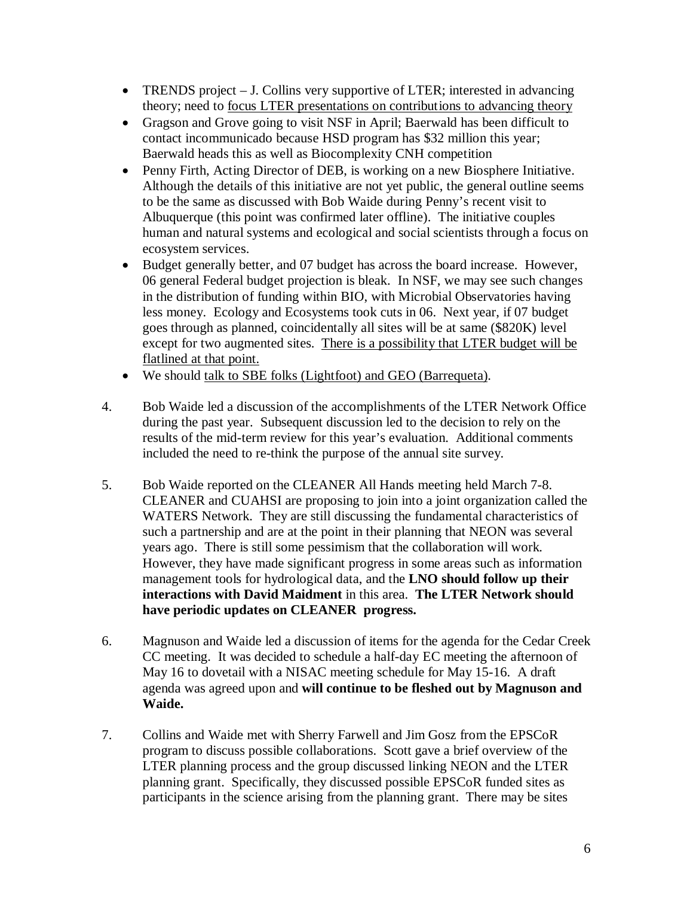- TRENDS project J. Collins very supportive of LTER; interested in advancing theory; need to **focus LTER** presentations on contributions to advancing theory
- Gragson and Grove going to visit NSF in April; Baerwald has been difficult to contact incommunicado because HSD program has \$32 million this year; Baerwald heads this as well as Biocomplexity CNH competition
- Penny Firth, Acting Director of DEB, is working on a new Biosphere Initiative. Although the details of this initiative are not yet public, the general outline seems to be the same as discussed with Bob Waide during Penny's recent visit to Albuquerque (this point was confirmed later offline). The initiative couples human and natural systems and ecological and social scientists through a focus on ecosystem services.
- Budget generally better, and 07 budget has across the board increase. However, 06 general Federal budget projection is bleak. In NSF, we may see such changes in the distribution of funding within BIO, with Microbial Observatories having less money. Ecology and Ecosystems took cuts in 06. Next year, if 07 budget goes through as planned, coincidentally all sites will be at same (\$820K) level except for two augmented sites. There is a possibility that LTER budget will be flatlined at that point.
- We should talk to SBE folks (Lightfoot) and GEO (Barrequeta).
- 4. Bob Waide led a discussion of the accomplishments of the LTER Network Office during the past year. Subsequent discussion led to the decision to rely on the results of the mid-term review for this year's evaluation. Additional comments included the need to re-think the purpose of the annual site survey.
- 5. Bob Waide reported on the CLEANER All Hands meeting held March 7-8. CLEANER and CUAHSI are proposing to join into a joint organization called the WATERS Network. They are still discussing the fundamental characteristics of such a partnership and are at the point in their planning that NEON was several years ago. There is still some pessimism that the collaboration will work. However, they have made significant progress in some areas such as information management tools for hydrological data, and the **LNO should follow up their interactions with David Maidment** in this area. **The LTER Network should have periodic updates on CLEANER progress.**
- 6. Magnuson and Waide led a discussion of items for the agenda for the Cedar Creek CC meeting. It was decided to schedule a half-day EC meeting the afternoon of May 16 to dovetail with a NISAC meeting schedule for May 15-16. A draft agenda was agreed upon and **will continue to be fleshed out by Magnuson and Waide.**
- 7. Collins and Waide met with Sherry Farwell and Jim Gosz from the EPSCoR program to discuss possible collaborations. Scott gave a brief overview of the LTER planning process and the group discussed linking NEON and the LTER planning grant. Specifically, they discussed possible EPSCoR funded sites as participants in the science arising from the planning grant. There may be sites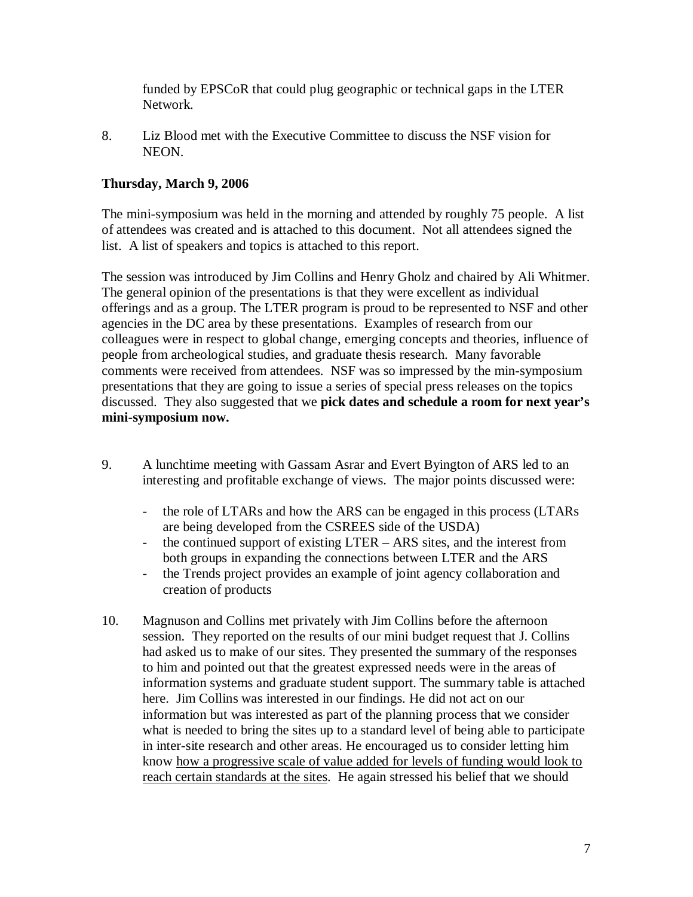funded by EPSCoR that could plug geographic or technical gaps in the LTER Network.

8. Liz Blood met with the Executive Committee to discuss the NSF vision for NEON.

## **Thursday, March 9, 2006**

The mini-symposium was held in the morning and attended by roughly 75 people. A list of attendees was created and is attached to this document. Not all attendees signed the list. A list of speakers and topics is attached to this report.

The session was introduced by Jim Collins and Henry Gholz and chaired by Ali Whitmer. The general opinion of the presentations is that they were excellent as individual offerings and as a group. The LTER program is proud to be represented to NSF and other agencies in the DC area by these presentations. Examples of research from our colleagues were in respect to global change, emerging concepts and theories, influence of people from archeological studies, and graduate thesis research. Many favorable comments were received from attendees. NSF was so impressed by the min-symposium presentations that they are going to issue a series of special press releases on the topics discussed. They also suggested that we **pick dates and schedule a room for next year's mini-symposium now.**

- 9. A lunchtime meeting with Gassam Asrar and Evert Byington of ARS led to an interesting and profitable exchange of views. The major points discussed were:
	- the role of LTARs and how the ARS can be engaged in this process (LTARs are being developed from the CSREES side of the USDA)
	- the continued support of existing LTER ARS sites, and the interest from both groups in expanding the connections between LTER and the ARS
	- the Trends project provides an example of joint agency collaboration and creation of products
- 10. Magnuson and Collins met privately with Jim Collins before the afternoon session. They reported on the results of our mini budget request that J. Collins had asked us to make of our sites. They presented the summary of the responses to him and pointed out that the greatest expressed needs were in the areas of information systems and graduate student support. The summary table is attached here. Jim Collins was interested in our findings. He did not act on our information but was interested as part of the planning process that we consider what is needed to bring the sites up to a standard level of being able to participate in inter-site research and other areas. He encouraged us to consider letting him know how a progressive scale of value added for levels of funding would look to reach certain standards at the sites. He again stressed his belief that we should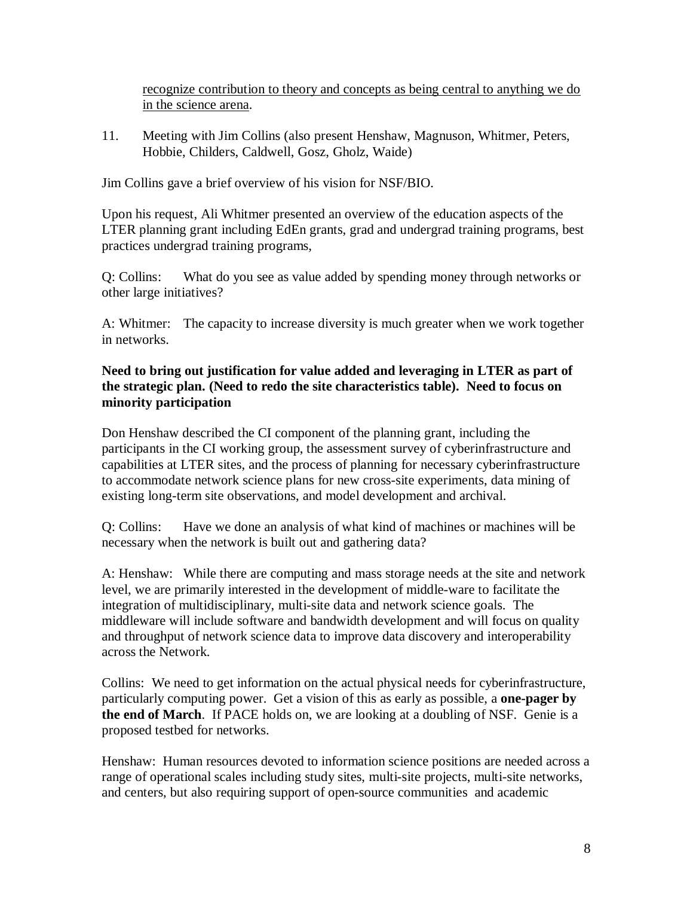recognize contribution to theory and concepts as being central to anything we do in the science arena.

11. Meeting with Jim Collins (also present Henshaw, Magnuson, Whitmer, Peters, Hobbie, Childers, Caldwell, Gosz, Gholz, Waide)

Jim Collins gave a brief overview of his vision for NSF/BIO.

Upon his request, Ali Whitmer presented an overview of the education aspects of the LTER planning grant including EdEn grants, grad and undergrad training programs, best practices undergrad training programs,

Q: Collins: What do you see as value added by spending money through networks or other large initiatives?

A: Whitmer: The capacity to increase diversity is much greater when we work together in networks.

### **Need to bring out justification for value added and leveraging in LTER as part of the strategic plan. (Need to redo the site characteristics table). Need to focus on minority participation**

Don Henshaw described the CI component of the planning grant, including the participants in the CI working group, the assessment survey of cyberinfrastructure and capabilities at LTER sites, and the process of planning for necessary cyberinfrastructure to accommodate network science plans for new cross-site experiments, data mining of existing long-term site observations, and model development and archival.

Q: Collins: Have we done an analysis of what kind of machines or machines will be necessary when the network is built out and gathering data?

A: Henshaw: While there are computing and mass storage needs at the site and network level, we are primarily interested in the development of middle-ware to facilitate the integration of multidisciplinary, multi-site data and network science goals. The middleware will include software and bandwidth development and will focus on quality and throughput of network science data to improve data discovery and interoperability across the Network.

Collins: We need to get information on the actual physical needs for cyberinfrastructure, particularly computing power. Get a vision of this as early as possible, a **one-pager by the end of March**. If PACE holds on, we are looking at a doubling of NSF. Genie is a proposed testbed for networks.

Henshaw: Human resources devoted to information science positions are needed across a range of operational scales including study sites, multi-site projects, multi-site networks, and centers, but also requiring support of open-source communities and academic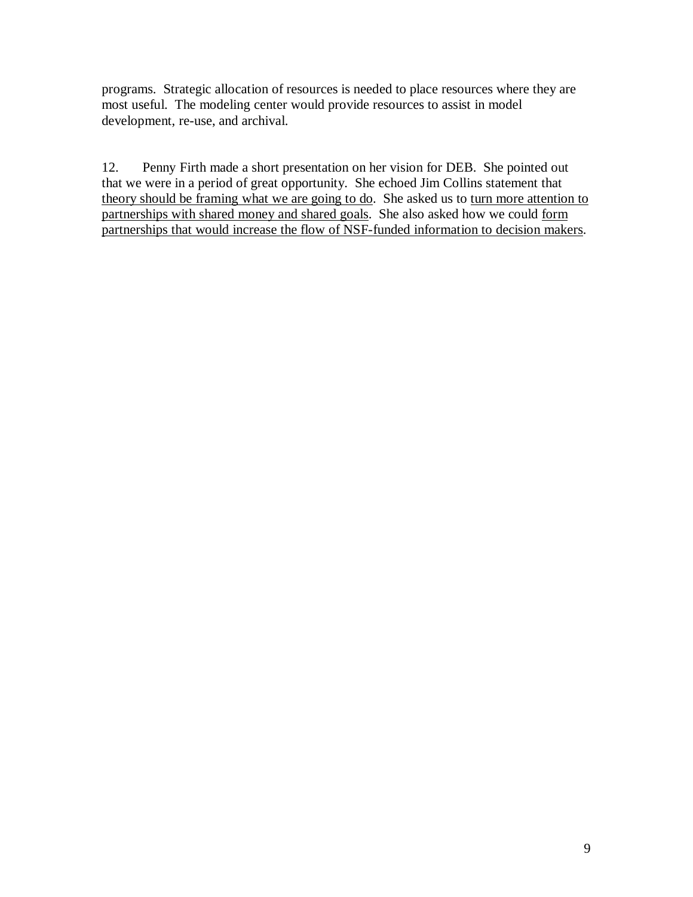programs. Strategic allocation of resources is needed to place resources where they are most useful. The modeling center would provide resources to assist in model development, re-use, and archival.

12. Penny Firth made a short presentation on her vision for DEB. She pointed out that we were in a period of great opportunity. She echoed Jim Collins statement that theory should be framing what we are going to do. She asked us to turn more attention to partnerships with shared money and shared goals. She also asked how we could form partnerships that would increase the flow of NSF-funded information to decision makers.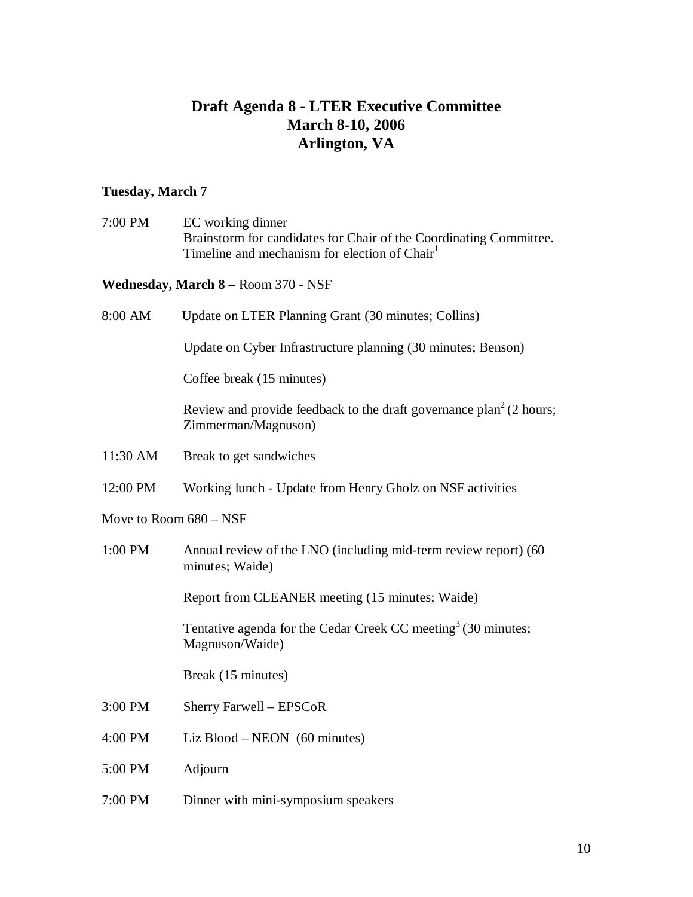# **Draft Agenda 8 - LTER Executive Committee March 8-10, 2006 Arlington, VA**

# **Tuesday, March 7**

| 7:00 PM  | EC working dinner<br>Brainstorm for candidates for Chair of the Coordinating Committee.<br>Timeline and mechanism for election of Chair <sup>1</sup> |
|----------|------------------------------------------------------------------------------------------------------------------------------------------------------|
|          | Wednesday, March 8 – Room 370 - NSF                                                                                                                  |
| 8:00 AM  | Update on LTER Planning Grant (30 minutes; Collins)                                                                                                  |
|          | Update on Cyber Infrastructure planning (30 minutes; Benson)                                                                                         |
|          | Coffee break (15 minutes)                                                                                                                            |
|          | Review and provide feedback to the draft governance $plan^2(2 hours;$<br>Zimmerman/Magnuson)                                                         |
| 11:30 AM | Break to get sandwiches                                                                                                                              |
| 12:00 PM | Working lunch - Update from Henry Gholz on NSF activities                                                                                            |
|          | Move to Room $680 - NSF$                                                                                                                             |
| 1:00 PM  | Annual review of the LNO (including mid-term review report) (60<br>minutes; Waide)                                                                   |
|          | Report from CLEANER meeting (15 minutes; Waide)                                                                                                      |
|          | Tentative agenda for the Cedar Creek CC meeting <sup>3</sup> (30 minutes;<br>Magnuson/Waide)                                                         |
|          | Break (15 minutes)                                                                                                                                   |
| 3:00 PM  | Sherry Farwell - EPSCoR                                                                                                                              |
| 4:00 PM  | Liz Blood $-$ NEON $(60 \text{ minutes})$                                                                                                            |
| 5:00 PM  | Adjourn                                                                                                                                              |
| 7:00 PM  | Dinner with mini-symposium speakers                                                                                                                  |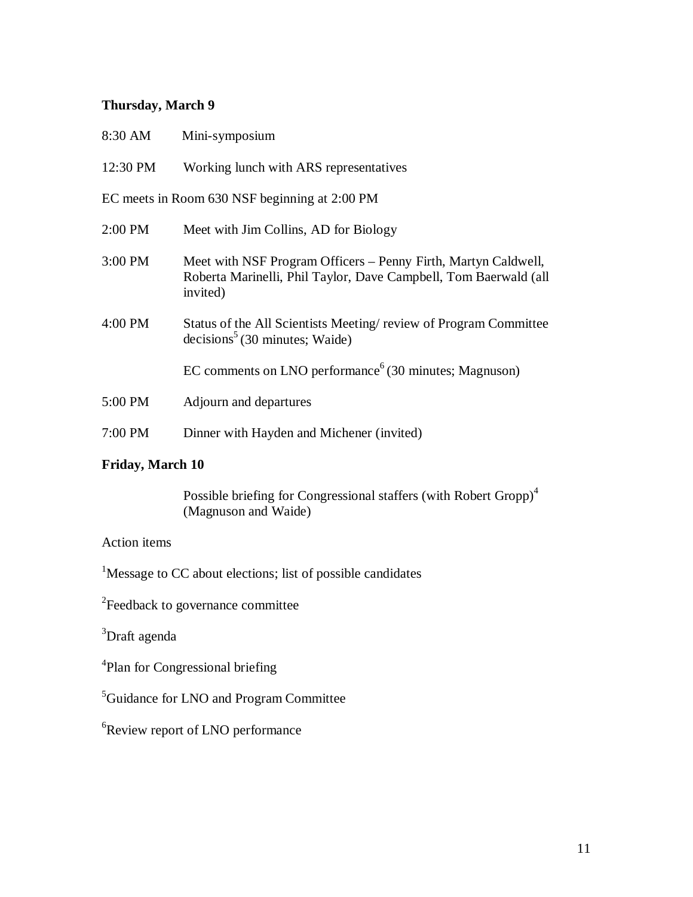## **Thursday, March 9**

| 8:30 AM                                       | Mini-symposium                                                                                                                                 |  |
|-----------------------------------------------|------------------------------------------------------------------------------------------------------------------------------------------------|--|
| 12:30 PM                                      | Working lunch with ARS representatives                                                                                                         |  |
| EC meets in Room 630 NSF beginning at 2:00 PM |                                                                                                                                                |  |
| 2:00 PM                                       | Meet with Jim Collins, AD for Biology                                                                                                          |  |
| 3:00 PM                                       | Meet with NSF Program Officers - Penny Firth, Martyn Caldwell,<br>Roberta Marinelli, Phil Taylor, Dave Campbell, Tom Baerwald (all<br>invited) |  |
| 4:00 PM                                       | Status of the All Scientists Meeting/review of Program Committee<br>$decisions5$ (30 minutes; Waide)                                           |  |
|                                               | EC comments on LNO performance $(30 \text{ minutes}; \text{Magnuson})$                                                                         |  |
| 5:00 PM                                       | Adjourn and departures                                                                                                                         |  |
| 7:00 PM                                       | Dinner with Hayden and Michener (invited)                                                                                                      |  |
|                                               |                                                                                                                                                |  |

# **Friday, March 10**

Possible briefing for Congressional staffers (with Robert Gropp)<sup>4</sup> (Magnuson and Waide)

### Action items

<sup>1</sup>Message to CC about elections; list of possible candidates

<sup>2</sup>Feedback to governance committee

<sup>3</sup>Draft agenda

<sup>4</sup>Plan for Congressional briefing

<sup>5</sup>Guidance for LNO and Program Committee

<sup>6</sup>Review report of LNO performance